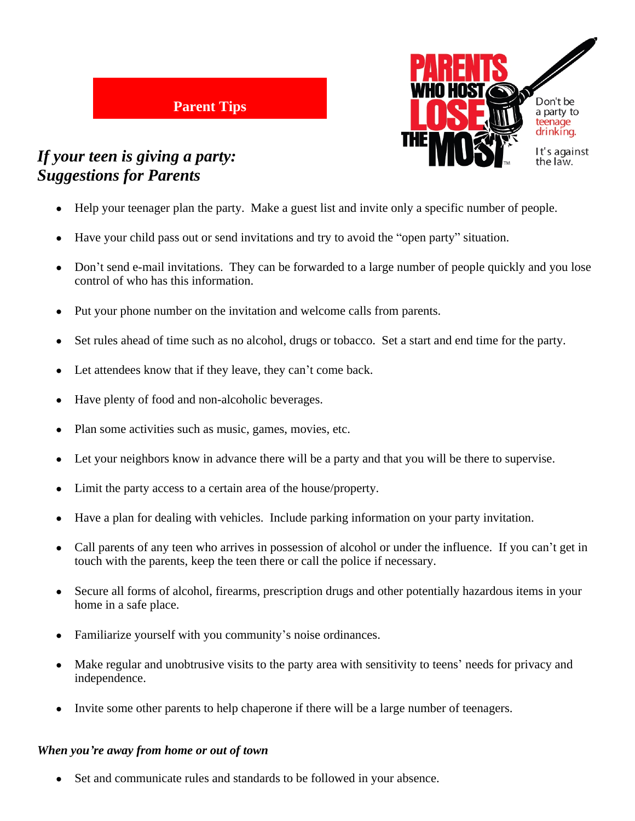

## *If your teen is giving a party: Suggestions for Parents*

- Help your teenager plan the party. Make a guest list and invite only a specific number of people.
- Have your child pass out or send invitations and try to avoid the "open party" situation.
- Don't send e-mail invitations. They can be forwarded to a large number of people quickly and you lose control of who has this information.
- Put your phone number on the invitation and welcome calls from parents.
- Set rules ahead of time such as no alcohol, drugs or tobacco. Set a start and end time for the party.
- Let attendees know that if they leave, they can't come back.

**Parent Tips**

- Have plenty of food and non-alcoholic beverages.
- Plan some activities such as music, games, movies, etc.
- Let your neighbors know in advance there will be a party and that you will be there to supervise.
- Limit the party access to a certain area of the house/property.
- Have a plan for dealing with vehicles. Include parking information on your party invitation.
- Call parents of any teen who arrives in possession of alcohol or under the influence. If you can't get in touch with the parents, keep the teen there or call the police if necessary.
- Secure all forms of alcohol, firearms, prescription drugs and other potentially hazardous items in your home in a safe place.
- Familiarize yourself with you community's noise ordinances.
- Make regular and unobtrusive visits to the party area with sensitivity to teens' needs for privacy and independence.
- Invite some other parents to help chaperone if there will be a large number of teenagers.

## *When you're away from home or out of town*

Set and communicate rules and standards to be followed in your absence.